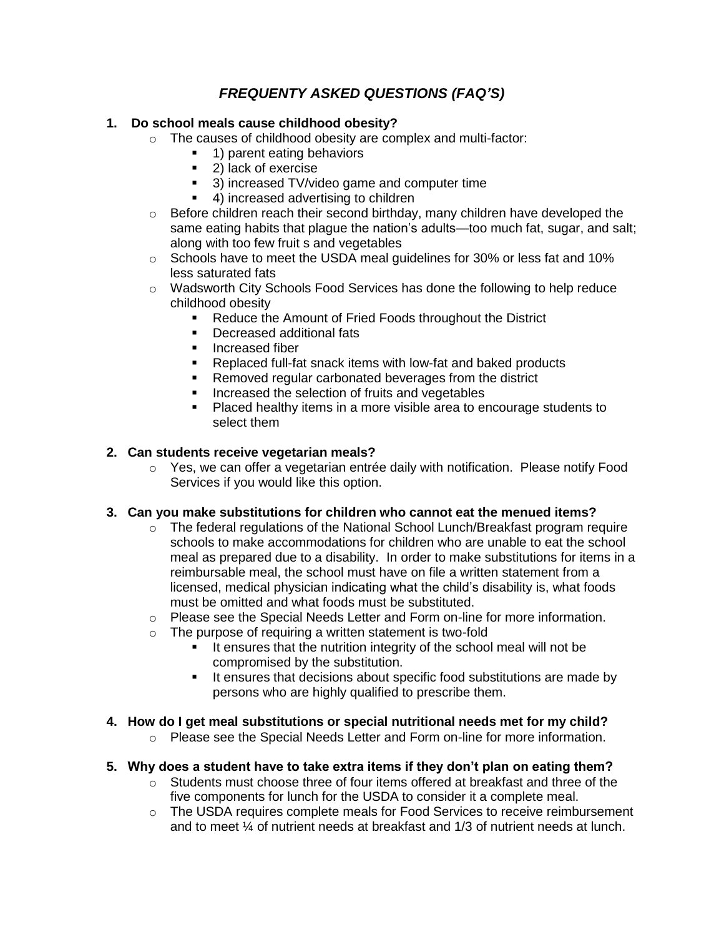# *FREQUENTY ASKED QUESTIONS (FAQ'S)*

#### **1. Do school meals cause childhood obesity?**

- o The causes of childhood obesity are complex and multi-factor:
	- 1) parent eating behaviors
	- 2) lack of exercise
	- <sup>3</sup> 3) increased TV/video game and computer time
	- 4) increased advertising to children
- o Before children reach their second birthday, many children have developed the same eating habits that plague the nation's adults—too much fat, sugar, and salt; along with too few fruit s and vegetables
- $\circ$  Schools have to meet the USDA meal guidelines for 30% or less fat and 10% less saturated fats
- $\circ$  Wadsworth City Schools Food Services has done the following to help reduce childhood obesity
	- Reduce the Amount of Fried Foods throughout the District
	- Decreased additional fats
	- Increased fiber
	- Replaced full-fat snack items with low-fat and baked products
	- **Removed regular carbonated beverages from the district**
	- **Increased the selection of fruits and vegetables**
	- **Placed healthy items in a more visible area to encourage students to** select them

## **2. Can students receive vegetarian meals?**

 $\circ$  Yes, we can offer a vegetarian entrée daily with notification. Please notify Food Services if you would like this option.

## **3. Can you make substitutions for children who cannot eat the menued items?**

- $\circ$  The federal regulations of the National School Lunch/Breakfast program require schools to make accommodations for children who are unable to eat the school meal as prepared due to a disability. In order to make substitutions for items in a reimbursable meal, the school must have on file a written statement from a licensed, medical physician indicating what the child's disability is, what foods must be omitted and what foods must be substituted.
- $\circ$  Please see the Special Needs Letter and Form on-line for more information.
- o The purpose of requiring a written statement is two-fold
	- It ensures that the nutrition integrity of the school meal will not be compromised by the substitution.
	- It ensures that decisions about specific food substitutions are made by persons who are highly qualified to prescribe them.

## **4. How do I get meal substitutions or special nutritional needs met for my child?**

 $\circ$  Please see the Special Needs Letter and Form on-line for more information.

#### **5. Why does a student have to take extra items if they don't plan on eating them?**

- $\circ$  Students must choose three of four items offered at breakfast and three of the five components for lunch for the USDA to consider it a complete meal.
- o The USDA requires complete meals for Food Services to receive reimbursement and to meet ¼ of nutrient needs at breakfast and 1/3 of nutrient needs at lunch.